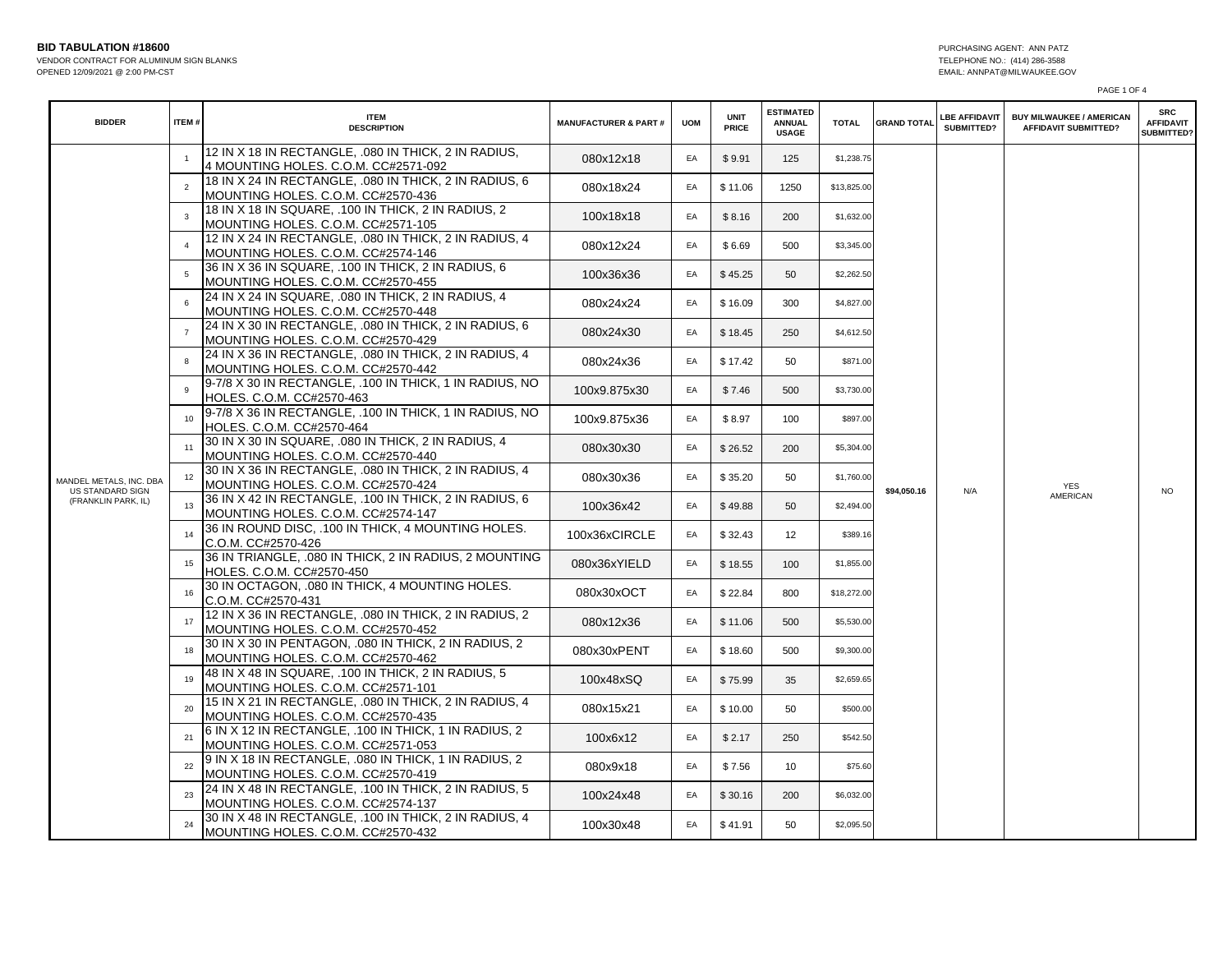**BID TABULATION #18600** PURCHASING AGENT: ANN PATZ

VENDOR CONTRACT FOR ALUMINUM SIGN BLANKS TELEPHONE NO.: (414) 286-3588 OPENED 12/09/2021 @ 2:00 PM-CST

PAGE 1 OF 4

| <b>BIDDER</b>                                  | ITEM#          | <b>ITEM</b><br><b>DESCRIPTION</b>                                                            | <b>MANUFACTURER &amp; PART#</b> | <b>UOM</b> | <b>UNIT</b><br>PRICE | <b>ESTIMATED</b><br><b>ANNUAL</b><br><b>USAGE</b> | <b>TOTAL</b> | <b>GRAND TOTAL</b> | <b>LBE AFFIDAVIT</b><br>SUBMITTED? | <b>BUY MILWAUKEE / AMERICAN</b><br><b>AFFIDAVIT SUBMITTED?</b> | <b>SRC</b><br><b>AFFIDAVIT</b><br>SUBMITTED? |
|------------------------------------------------|----------------|----------------------------------------------------------------------------------------------|---------------------------------|------------|----------------------|---------------------------------------------------|--------------|--------------------|------------------------------------|----------------------------------------------------------------|----------------------------------------------|
|                                                |                | 12 IN X 18 IN RECTANGLE, .080 IN THICK, 2 IN RADIUS,<br>4 MOUNTING HOLES. C.O.M. CC#2571-092 | 080x12x18                       | EA         | \$9.91               | 125                                               | \$1,238.75   |                    |                                    |                                                                |                                              |
|                                                | $\overline{2}$ | 18 IN X 24 IN RECTANGLE, .080 IN THICK, 2 IN RADIUS, 6<br>MOUNTING HOLES. C.O.M. CC#2570-436 | 080x18x24                       | EA         | \$11.06              | 1250                                              | \$13,825.00  |                    |                                    |                                                                |                                              |
|                                                | $\mathbf{3}$   | 18 IN X 18 IN SQUARE, .100 IN THICK, 2 IN RADIUS, 2<br>MOUNTING HOLES. C.O.M. CC#2571-105    | 100x18x18                       | EA         | \$8.16               | 200                                               | \$1,632.00   |                    |                                    |                                                                |                                              |
|                                                | $\overline{4}$ | 12 IN X 24 IN RECTANGLE, 080 IN THICK, 2 IN RADIUS, 4<br>MOUNTING HOLES. C.O.M. CC#2574-146  | 080x12x24                       | EA         | \$6.69               | 500                                               | \$3,345.00   |                    |                                    |                                                                |                                              |
|                                                |                | 36 IN X 36 IN SQUARE, .100 IN THICK, 2 IN RADIUS, 6<br>MOUNTING HOLES. C.O.M. CC#2570-455    | 100x36x36                       | EA         | \$45.25              | 50                                                | \$2,262.50   |                    |                                    |                                                                |                                              |
|                                                |                | 24 IN X 24 IN SQUARE, .080 IN THICK, 2 IN RADIUS, 4<br>MOUNTING HOLES. C.O.M. CC#2570-448    | 080x24x24                       | EA         | \$16.09              | 300                                               | \$4,827.00   |                    |                                    |                                                                |                                              |
|                                                | $\overline{7}$ | 24 IN X 30 IN RECTANGLE, 080 IN THICK, 2 IN RADIUS, 6<br>MOUNTING HOLES. C.O.M. CC#2570-429  | 080x24x30                       | EA         | \$18.45              | 250                                               | \$4,612.50   |                    |                                    |                                                                |                                              |
| MANDEL METALS, INC. DBA                        |                | 24 IN X 36 IN RECTANGLE, .080 IN THICK, 2 IN RADIUS, 4<br>MOUNTING HOLES. C.O.M. CC#2570-442 | 080x24x36                       | EA         | \$17.42              | 50                                                | \$871.00     |                    |                                    |                                                                |                                              |
|                                                | 9              | 9-7/8 X 30 IN RECTANGLE, .100 IN THICK, 1 IN RADIUS, NO<br>HOLES. C.O.M. CC#2570-463         | 100x9.875x30                    | EA         | \$7.46               | 500                                               | \$3,730.00   |                    |                                    |                                                                |                                              |
|                                                |                | 9-7/8 X 36 IN RECTANGLE, .100 IN THICK, 1 IN RADIUS, NO<br>HOLES. C.O.M. CC#2570-464         | 100x9.875x36                    | EA         | \$8.97               | 100                                               | \$897.00     |                    |                                    |                                                                |                                              |
|                                                | 11             | 30 IN X 30 IN SQUARE, .080 IN THICK, 2 IN RADIUS, 4<br>MOUNTING HOLES. C.O.M. CC#2570-440    | 080x30x30                       | EA         | \$26.52              | 200                                               | \$5,304.00   |                    |                                    |                                                                |                                              |
|                                                | 12             | 30 IN X 36 IN RECTANGLE, .080 IN THICK, 2 IN RADIUS, 4<br>MOUNTING HOLES. C.O.M. CC#2570-424 | 080x30x36                       | EA         | \$35.20              | 50                                                | \$1,760.00   |                    |                                    | YES                                                            |                                              |
| <b>US STANDARD SIGN</b><br>(FRANKLIN PARK, IL) | 13             | 36 IN X 42 IN RECTANGLE, .100 IN THICK, 2 IN RADIUS, 6<br>MOUNTING HOLES. C.O.M. CC#2574-147 | 100x36x42                       | EA         | \$49.88              | 50                                                | \$2,494.00   | \$94,050.16<br>N/A |                                    | AMERICAN                                                       | <b>NO</b>                                    |
|                                                | 14             | 36 IN ROUND DISC, .100 IN THICK, 4 MOUNTING HOLES.<br>C.O.M. CC#2570-426                     | 100x36xCIRCLE                   | EA         | \$32.43              | 12                                                | \$389.16     |                    |                                    |                                                                |                                              |
|                                                | 15             | 36 IN TRIANGLE, .080 IN THICK, 2 IN RADIUS, 2 MOUNTING<br>HOLES. C.O.M. CC#2570-450          | 080x36xYIELD                    | EA         | \$18.55              | 100                                               | \$1,855.00   |                    |                                    |                                                                |                                              |
|                                                | 16             | 30 IN OCTAGON, .080 IN THICK, 4 MOUNTING HOLES.<br>C.O.M. CC#2570-431                        | 080x30xOCT                      | EA         | \$22.84              | 800                                               | \$18,272.00  |                    |                                    |                                                                |                                              |
|                                                | 17             | 12 IN X 36 IN RECTANGLE, .080 IN THICK, 2 IN RADIUS, 2<br>MOUNTING HOLES. C.O.M. CC#2570-452 | 080x12x36                       | EA         | \$11.06              | 500                                               | \$5,530.00   |                    |                                    |                                                                |                                              |
|                                                |                | 30 IN X 30 IN PENTAGON, .080 IN THICK, 2 IN RADIUS, 2<br>MOUNTING HOLES. C.O.M. CC#2570-462  | 080x30xPENT                     | EA         | \$18.60              | 500                                               | \$9,300.00   |                    |                                    |                                                                |                                              |
|                                                | 19             | 48 IN X 48 IN SQUARE, .100 IN THICK, 2 IN RADIUS, 5<br>MOUNTING HOLES. C.O.M. CC#2571-101    | 100x48xSQ                       | EA         | \$75.99              | 35                                                | \$2,659.65   |                    |                                    |                                                                |                                              |
|                                                | 20             | 15 IN X 21 IN RECTANGLE, 080 IN THICK, 2 IN RADIUS, 4<br>MOUNTING HOLES. C.O.M. CC#2570-435  | 080x15x21                       | EA         | \$10.00              | 50                                                | \$500.00     |                    |                                    |                                                                |                                              |
|                                                | 21             | 6 IN X 12 IN RECTANGLE, .100 IN THICK, 1 IN RADIUS, 2<br>MOUNTING HOLES. C.O.M. CC#2571-053  | 100x6x12                        | EA         | \$2.17               | 250                                               | \$542.50     |                    |                                    |                                                                |                                              |
|                                                | 22             | 9 IN X 18 IN RECTANGLE, .080 IN THICK, 1 IN RADIUS, 2<br>MOUNTING HOLES. C.O.M. CC#2570-419  | 080x9x18                        | EA         | \$7.56               | 10                                                | \$75.60      |                    |                                    |                                                                |                                              |
|                                                | 23             | 24 IN X 48 IN RECTANGLE, .100 IN THICK, 2 IN RADIUS, 5<br>MOUNTING HOLES. C.O.M. CC#2574-137 | 100x24x48                       | EA         | \$30.16              | 200                                               | \$6,032.00   |                    |                                    |                                                                |                                              |
|                                                | 24             | 30 IN X 48 IN RECTANGLE, .100 IN THICK, 2 IN RADIUS, 4<br>MOUNTING HOLES. C.O.M. CC#2570-432 | 100x30x48                       | EA         | \$41.91              | 50                                                | \$2,095.50   |                    |                                    |                                                                |                                              |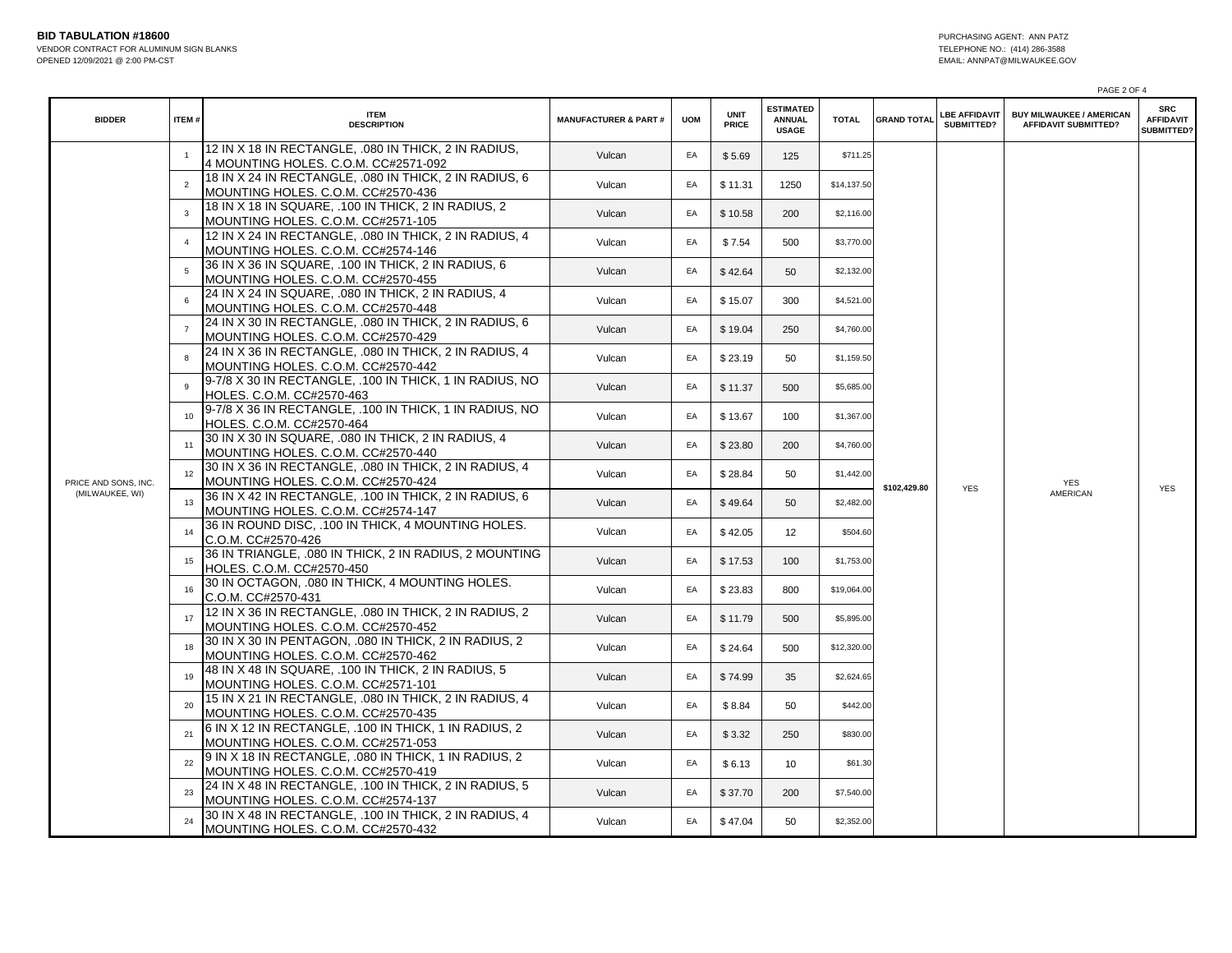|                      |                |                                                                                              |                                 |            |                      |                                                   |              |                            | PAGE 2 OF 4                        |                                                                |                                                     |
|----------------------|----------------|----------------------------------------------------------------------------------------------|---------------------------------|------------|----------------------|---------------------------------------------------|--------------|----------------------------|------------------------------------|----------------------------------------------------------------|-----------------------------------------------------|
| <b>BIDDER</b>        | ITEM#          | <b>ITEM</b><br><b>DESCRIPTION</b>                                                            | <b>MANUFACTURER &amp; PART#</b> | <b>UOM</b> | <b>UNIT</b><br>PRICE | <b>ESTIMATED</b><br><b>ANNUAL</b><br><b>USAGE</b> | <b>TOTAL</b> | <b>GRAND TOTAL</b>         | <b>LBE AFFIDAVIT</b><br>SUBMITTED? | <b>BUY MILWAUKEE / AMERICAN</b><br><b>AFFIDAVIT SUBMITTED?</b> | <b>SRC</b><br><b>AFFIDAVIT</b><br><b>SUBMITTED?</b> |
|                      |                | 12 IN X 18 IN RECTANGLE. 080 IN THICK, 2 IN RADIUS.<br>4 MOUNTING HOLES. C.O.M. CC#2571-092  | Vulcan                          | EA         | \$5.69               | 125                                               | \$711.25     | \$102.429.80<br><b>YES</b> |                                    | <b>YES</b><br>AMERICAN                                         | <b>YES</b>                                          |
|                      | $\overline{2}$ | 18 IN X 24 IN RECTANGLE, 080 IN THICK, 2 IN RADIUS, 6<br>MOUNTING HOLES. C.O.M. CC#2570-436  | Vulcan                          | EA         | \$11.31              | 1250                                              | \$14,137.50  |                            |                                    |                                                                |                                                     |
|                      | 3              | 18 IN X 18 IN SQUARE, .100 IN THICK, 2 IN RADIUS, 2<br>MOUNTING HOLES. C.O.M. CC#2571-105    | Vulcan                          | EA         | \$10.58              | 200                                               | \$2,116.00   |                            |                                    |                                                                |                                                     |
|                      |                | 12 IN X 24 IN RECTANGLE, .080 IN THICK, 2 IN RADIUS, 4<br>MOUNTING HOLES. C.O.M. CC#2574-146 | Vulcan                          | EA         | \$7.54               | 500                                               | \$3,770.00   |                            |                                    |                                                                |                                                     |
|                      | 5              | 36 IN X 36 IN SQUARE, .100 IN THICK, 2 IN RADIUS, 6<br>MOUNTING HOLES. C.O.M. CC#2570-455    | Vulcan                          | EA         | \$42.64              | 50                                                | \$2,132.00   |                            |                                    |                                                                |                                                     |
|                      | 6              | 24 IN X 24 IN SQUARE, .080 IN THICK, 2 IN RADIUS, 4<br>MOUNTING HOLES. C.O.M. CC#2570-448    | Vulcan                          | EA         | \$15.07              | 300                                               | \$4,521.00   |                            |                                    |                                                                |                                                     |
|                      |                | 24 IN X 30 IN RECTANGLE, .080 IN THICK, 2 IN RADIUS, 6<br>MOUNTING HOLES. C.O.M. CC#2570-429 | Vulcan                          | EA         | \$19.04              | 250                                               | \$4,760.00   |                            |                                    |                                                                |                                                     |
|                      | 8              | 24 IN X 36 IN RECTANGLE, .080 IN THICK, 2 IN RADIUS, 4<br>MOUNTING HOLES. C.O.M. CC#2570-442 | Vulcan                          | EA         | \$23.19              | 50                                                | \$1,159.50   |                            |                                    |                                                                |                                                     |
| PRICE AND SONS, INC. | $\mathbf{g}$   | 9-7/8 X 30 IN RECTANGLE, .100 IN THICK, 1 IN RADIUS, NO<br>HOLES, C.O.M. CC#2570-463         | Vulcan                          | EA         | \$11.37              | 500                                               | \$5,685.00   |                            |                                    |                                                                |                                                     |
|                      | 10             | 9-7/8 X 36 IN RECTANGLE, .100 IN THICK, 1 IN RADIUS, NO<br>HOLES. C.O.M. CC#2570-464         | Vulcan                          | EA         | \$13.67              | 100                                               | \$1,367.00   |                            |                                    |                                                                |                                                     |
|                      | 11             | 30 IN X 30 IN SQUARE, .080 IN THICK, 2 IN RADIUS, 4<br>MOUNTING HOLES. C.O.M. CC#2570-440    | Vulcan                          | EA         | \$23.80              | 200                                               | \$4,760.00   |                            |                                    |                                                                |                                                     |
|                      | 12             | 30 IN X 36 IN RECTANGLE, .080 IN THICK, 2 IN RADIUS, 4<br>MOUNTING HOLES. C.O.M. CC#2570-424 | Vulcan                          | EA         | \$28.84              | 50                                                | \$1,442.00   |                            |                                    |                                                                |                                                     |
| (MILWAUKEE, WI)      | 13             | 36 IN X 42 IN RECTANGLE, .100 IN THICK, 2 IN RADIUS, 6<br>MOUNTING HOLES. C.O.M. CC#2574-147 | Vulcan                          | EA         | \$49.64              | 50                                                | \$2,482.00   |                            |                                    |                                                                |                                                     |
|                      | 14             | 36 IN ROUND DISC, .100 IN THICK, 4 MOUNTING HOLES.<br>C.O.M. CC#2570-426                     | Vulcan                          | EA         | \$42.05              | 12                                                | \$504.60     |                            |                                    |                                                                |                                                     |
|                      | 15             | 36 IN TRIANGLE, .080 IN THICK, 2 IN RADIUS, 2 MOUNTING<br>HOLES. C.O.M. CC#2570-450          | Vulcan                          | EA         | \$17.53              | 100                                               | \$1,753.00   |                            |                                    |                                                                |                                                     |
|                      | 16             | 30 IN OCTAGON, .080 IN THICK, 4 MOUNTING HOLES.<br>C.O.M. CC#2570-431                        | Vulcan                          | EA         | \$23.83              | 800                                               | \$19,064.00  |                            |                                    |                                                                |                                                     |
|                      | 17             | 12 IN X 36 IN RECTANGLE, .080 IN THICK, 2 IN RADIUS, 2<br>MOUNTING HOLES. C.O.M. CC#2570-452 | Vulcan                          | EA         | \$11.79              | 500                                               | \$5,895.00   |                            |                                    |                                                                |                                                     |
|                      | 18             | 30 IN X 30 IN PENTAGON, .080 IN THICK, 2 IN RADIUS, 2<br>MOUNTING HOLES. C.O.M. CC#2570-462  | Vulcan                          | EA         | \$24.64              | 500                                               | \$12,320.00  |                            |                                    |                                                                |                                                     |
|                      | 19             | 48 IN X 48 IN SQUARE, .100 IN THICK, 2 IN RADIUS, 5<br>MOUNTING HOLES. C.O.M. CC#2571-101    | Vulcan                          | EA         | \$74.99              | 35                                                | \$2,624.65   |                            |                                    |                                                                |                                                     |
|                      | 20             | 15 IN X 21 IN RECTANGLE, .080 IN THICK, 2 IN RADIUS, 4<br>MOUNTING HOLES. C.O.M. CC#2570-435 | Vulcan                          | EA         | \$8.84               | 50                                                | \$442.00     |                            |                                    |                                                                |                                                     |
|                      | 21             | 6 IN X 12 IN RECTANGLE, .100 IN THICK, 1 IN RADIUS, 2<br>MOUNTING HOLES. C.O.M. CC#2571-053  | Vulcan                          | EA         | \$3.32               | 250                                               | \$830.00     |                            |                                    |                                                                |                                                     |
|                      |                | 9 IN X 18 IN RECTANGLE, .080 IN THICK, 1 IN RADIUS, 2<br>MOUNTING HOLES. C.O.M. CC#2570-419  | Vulcan                          | EA         | \$6.13               | 10                                                | \$61.30      |                            |                                    |                                                                |                                                     |
|                      | 23             | 24 IN X 48 IN RECTANGLE, .100 IN THICK, 2 IN RADIUS, 5<br>MOUNTING HOLES. C.O.M. CC#2574-137 | Vulcan                          | EA         | \$37.70              | 200                                               | \$7,540.00   |                            |                                    |                                                                |                                                     |
|                      | 24             | 30 IN X 48 IN RECTANGLE, .100 IN THICK, 2 IN RADIUS, 4<br>MOUNTING HOLES. C.O.M. CC#2570-432 | Vulcan                          | EA         | \$47.04              | 50                                                | \$2,352.00   |                            |                                    |                                                                |                                                     |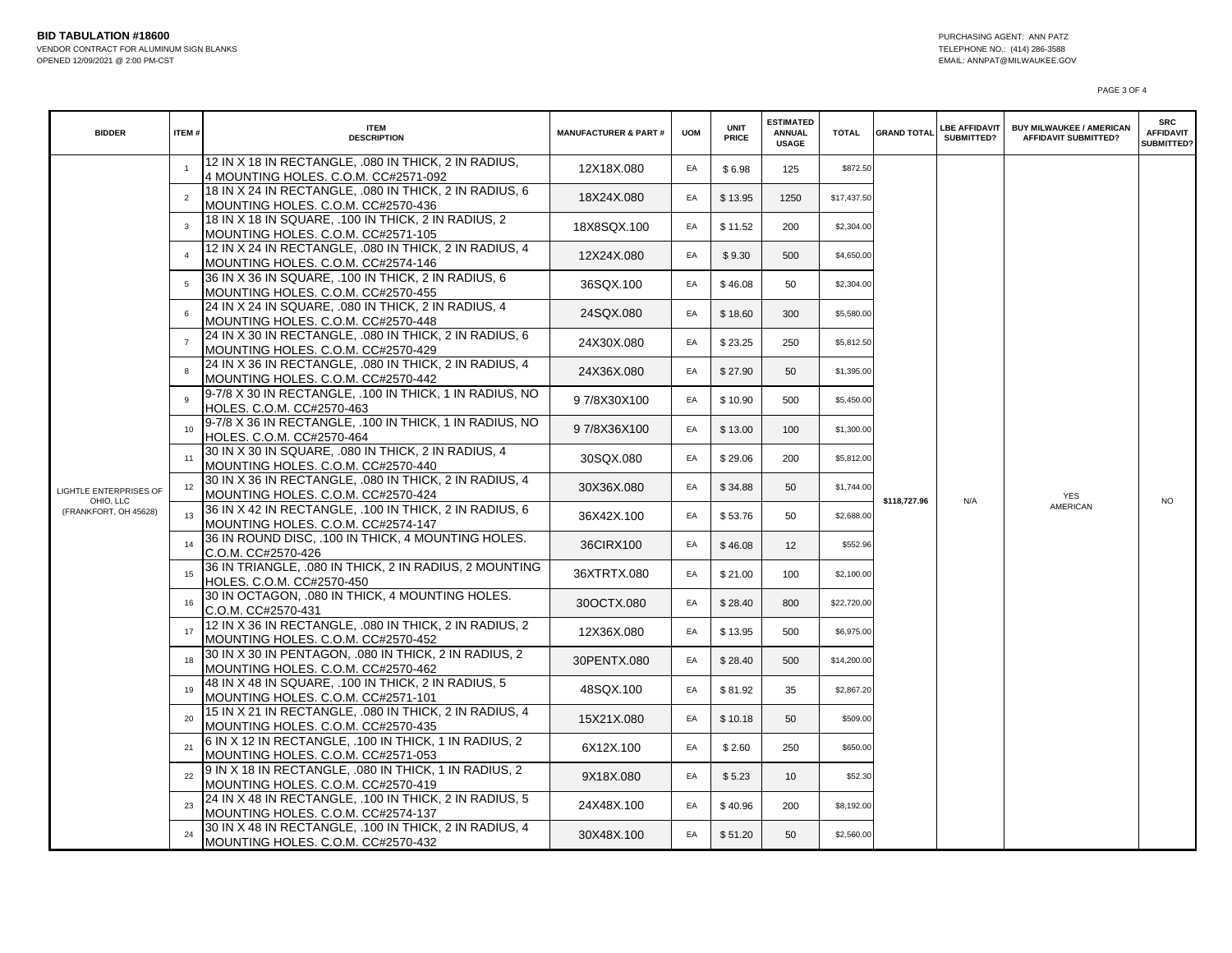PAGE 3 OF 4

| <b>BIDDER</b>                      | ITEM#          | <b>ITEM</b><br><b>DESCRIPTION</b>                                                            | <b>MANUFACTURER &amp; PART#</b> | <b>UOM</b> | <b>UNIT</b><br>PRICE | <b>ESTIMATED</b><br><b>ANNUAL</b><br><b>USAGE</b> | <b>TOTAL</b> | <b>GRAND TOTAL</b>  | <b>LBE AFFIDAVIT</b><br>SUBMITTED? | <b>BUY MILWAUKEE / AMERICAN</b><br><b>AFFIDAVIT SUBMITTED?</b> | <b>SRC</b><br><b>AFFIDAVIT</b><br>SUBMITTED? |
|------------------------------------|----------------|----------------------------------------------------------------------------------------------|---------------------------------|------------|----------------------|---------------------------------------------------|--------------|---------------------|------------------------------------|----------------------------------------------------------------|----------------------------------------------|
|                                    |                | 12 IN X 18 IN RECTANGLE, .080 IN THICK, 2 IN RADIUS,<br>4 MOUNTING HOLES. C.O.M. CC#2571-092 | 12X18X.080                      | EA         | \$6.98               | 125                                               | \$872.50     |                     |                                    |                                                                |                                              |
|                                    | $\overline{2}$ | 18 IN X 24 IN RECTANGLE, .080 IN THICK, 2 IN RADIUS, 6<br>MOUNTING HOLES. C.O.M. CC#2570-436 | 18X24X.080                      | EA         | \$13.95              | 1250                                              | \$17,437.50  |                     |                                    |                                                                |                                              |
|                                    | $\mathbf{3}$   | 18 IN X 18 IN SQUARE, .100 IN THICK, 2 IN RADIUS, 2<br>MOUNTING HOLES. C.O.M. CC#2571-105    | 18X8SQX.100                     | EA         | \$11.52              | 200                                               | \$2,304.00   |                     |                                    |                                                                |                                              |
|                                    | $\overline{4}$ | 12 IN X 24 IN RECTANGLE, 080 IN THICK, 2 IN RADIUS, 4<br>MOUNTING HOLES. C.O.M. CC#2574-146  | 12X24X.080                      | EA         | \$9.30               | 500                                               | \$4,650.00   |                     |                                    |                                                                |                                              |
|                                    | 5              | 36 IN X 36 IN SQUARE, .100 IN THICK, 2 IN RADIUS, 6<br>MOUNTING HOLES. C.O.M. CC#2570-455    | 36SQX.100                       | EA         | \$46.08              | 50                                                | \$2,304.00   |                     |                                    |                                                                |                                              |
|                                    |                | 24 IN X 24 IN SQUARE, .080 IN THICK, 2 IN RADIUS, 4<br>MOUNTING HOLES. C.O.M. CC#2570-448    | 24SQX.080                       | EA         | \$18.60              | 300                                               | \$5,580.00   |                     |                                    |                                                                |                                              |
|                                    | $\overline{7}$ | 24 IN X 30 IN RECTANGLE, .080 IN THICK, 2 IN RADIUS, 6<br>MOUNTING HOLES. C.O.M. CC#2570-429 | 24X30X.080                      | EA         | \$23.25              | 250                                               | \$5,812.50   |                     |                                    |                                                                |                                              |
|                                    | 8              | 24 IN X 36 IN RECTANGLE, .080 IN THICK, 2 IN RADIUS, 4<br>MOUNTING HOLES. C.O.M. CC#2570-442 | 24X36X.080                      | EA         | \$27.90              | 50                                                | \$1,395.00   |                     |                                    |                                                                |                                              |
| LIGHTLE ENTERPRISES OF             | 9              | 9-7/8 X 30 IN RECTANGLE. .100 IN THICK. 1 IN RADIUS. NO<br>HOLES. C.O.M. CC#2570-463         | 97/8X30X100                     | EA         | \$10.90              | 500                                               | \$5,450.00   |                     |                                    |                                                                |                                              |
|                                    | 10             | 9-7/8 X 36 IN RECTANGLE, .100 IN THICK, 1 IN RADIUS, NO<br>HOLES. C.O.M. CC#2570-464         | 97/8X36X100                     | EA         | \$13.00              | 100                                               | \$1,300.00   |                     |                                    |                                                                |                                              |
|                                    | 11             | 30 IN X 30 IN SQUARE, .080 IN THICK, 2 IN RADIUS, 4<br>MOUNTING HOLES. C.O.M. CC#2570-440    | 30SQX.080                       | EA         | \$29.06              | 200                                               | \$5,812.00   |                     |                                    |                                                                |                                              |
|                                    | 12             | 30 IN X 36 IN RECTANGLE, 080 IN THICK, 2 IN RADIUS, 4<br>MOUNTING HOLES. C.O.M. CC#2570-424  | 30X36X.080                      | EA         | \$34.88              | 50                                                | \$1,744.00   | \$118,727.96<br>N/A |                                    | <b>YES</b><br>AMERICAN                                         | <b>NO</b>                                    |
| OHIO, LLC<br>(FRANKFORT, OH 45628) | 13             | 36 IN X 42 IN RECTANGLE, .100 IN THICK, 2 IN RADIUS, 6<br>MOUNTING HOLES. C.O.M. CC#2574-147 | 36X42X.100                      | EA         | \$53.76              | 50                                                | \$2,688.00   |                     |                                    |                                                                |                                              |
|                                    | 14             | 36 IN ROUND DISC, .100 IN THICK, 4 MOUNTING HOLES.<br>C.O.M. CC#2570-426                     | 36CIRX100                       | EA         | \$46.08              | 12 <sup>2</sup>                                   | \$552.96     |                     |                                    |                                                                |                                              |
|                                    | 15             | 36 IN TRIANGLE, .080 IN THICK, 2 IN RADIUS, 2 MOUNTING<br>HOLES, C.O.M. CC#2570-450          | 36XTRTX.080                     | EA         | \$21.00              | 100                                               | \$2,100.00   |                     |                                    |                                                                |                                              |
|                                    |                | 30 IN OCTAGON, .080 IN THICK, 4 MOUNTING HOLES.<br>C.O.M. CC#2570-431                        | 30OCTX.080                      | EA         | \$28.40              | 800                                               | \$22,720.00  |                     |                                    |                                                                |                                              |
|                                    | 17             | 12 IN X 36 IN RECTANGLE, .080 IN THICK, 2 IN RADIUS, 2<br>MOUNTING HOLES. C.O.M. CC#2570-452 | 12X36X.080                      | EA         | \$13.95              | 500                                               | \$6,975.00   |                     |                                    |                                                                |                                              |
|                                    | 18             | 30 IN X 30 IN PENTAGON. .080 IN THICK. 2 IN RADIUS. 2<br>MOUNTING HOLES. C.O.M. CC#2570-462  | 30PENTX.080                     | EA         | \$28.40              | 500                                               | \$14,200.00  |                     |                                    |                                                                |                                              |
|                                    | 19             | 48 IN X 48 IN SQUARE, .100 IN THICK, 2 IN RADIUS, 5<br>MOUNTING HOLES. C.O.M. CC#2571-101    | 48SQX.100                       | EA         | \$81.92              | 35                                                | \$2,867.20   |                     |                                    |                                                                |                                              |
|                                    | 20             | 15 IN X 21 IN RECTANGLE, 080 IN THICK, 2 IN RADIUS, 4<br>MOUNTING HOLES. C.O.M. CC#2570-435  | 15X21X.080                      | EA         | \$10.18              | 50                                                | \$509.00     |                     |                                    |                                                                |                                              |
|                                    | 21             | 6 IN X 12 IN RECTANGLE, .100 IN THICK, 1 IN RADIUS, 2<br>MOUNTING HOLES. C.O.M. CC#2571-053  | 6X12X.100                       | EA         | \$2.60               | 250                                               | \$650.00     |                     |                                    |                                                                |                                              |
|                                    | 22             | 9 IN X 18 IN RECTANGLE, .080 IN THICK, 1 IN RADIUS, 2<br>MOUNTING HOLES. C.O.M. CC#2570-419  | 9X18X.080                       | EA         | \$5.23               | 10 <sup>°</sup>                                   | \$52.30      |                     |                                    |                                                                |                                              |
|                                    | 23             | 24 IN X 48 IN RECTANGLE, .100 IN THICK, 2 IN RADIUS, 5<br>MOUNTING HOLES. C.O.M. CC#2574-137 | 24X48X.100                      | EA         | \$40.96              | 200                                               | \$8,192.00   |                     |                                    |                                                                |                                              |
|                                    | 24             | 30 IN X 48 IN RECTANGLE, .100 IN THICK, 2 IN RADIUS, 4<br>MOUNTING HOLES. C.O.M. CC#2570-432 | 30X48X.100                      | EA         | \$51.20              | 50                                                | \$2,560.00   |                     |                                    |                                                                |                                              |